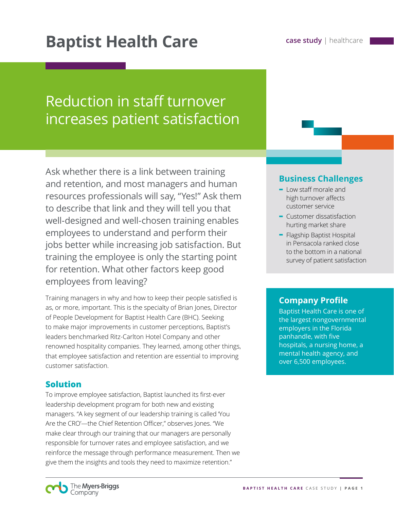# Reduction in staff turnover increases patient satisfaction

Ask whether there is a link between training and retention, and most managers and human resources professionals will say, "Yes!" Ask them to describe that link and they will tell you that well-designed and well-chosen training enables employees to understand and perform their jobs better while increasing job satisfaction. But training the employee is only the starting point for retention. What other factors keep good employees from leaving?

Training managers in why and how to keep their people satisfied is as, or more, important. This is the specialty of Brian Jones, Director of People Development for Baptist Health Care (BHC). Seeking to make major improvements in customer perceptions, Baptist's leaders benchmarked Ritz-Carlton Hotel Company and other renowned hospitality companies. They learned, among other things, that employee satisfaction and retention are essential to improving customer satisfaction.

## **Solution**

To improve employee satisfaction, Baptist launched its first-ever leadership development program for both new and existing managers. "A key segment of our leadership training is called 'You Are the CRO'—the Chief Retention Officer," observes Jones. "We make clear through our training that our managers are personally responsible for turnover rates and employee satisfaction, and we reinforce the message through performance measurement. Then we give them the insights and tools they need to maximize retention."

## **Business Challenges**

- **-** Low staff morale and high turnover affects customer service
- **-** Customer dissatisfaction hurting market share
- **-** Flagship Baptist Hospital in Pensacola ranked close to the bottom in a national survey of patient satisfaction

## **Company Profile**

Baptist Health Care is one of the largest nongovernmental employers in the Florida panhandle, with five hospitals, a nursing home, a mental health agency, and over 6,500 employees.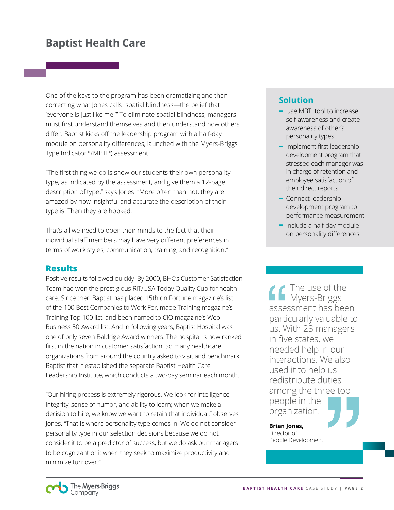# **Baptist Health Care**

One of the keys to the program has been dramatizing and then correcting what Jones calls "spatial blindness—the belief that 'everyone is just like me.'" To eliminate spatial blindness, managers must first understand themselves and then understand how others differ. Baptist kicks off the leadership program with a half-day module on personality differences, launched with the Myers-Briggs Type Indicator® (MBTI®) assessment.

"The first thing we do is show our students their own personality type, as indicated by the assessment, and give them a 12-page description of type," says Jones. "More often than not, they are amazed by how insightful and accurate the description of their type is. Then they are hooked.

That's all we need to open their minds to the fact that their individual staff members may have very different preferences in terms of work styles, communication, training, and recognition."

## **Results**

Positive results followed quickly. By 2000, BHC's Customer Satisfaction Team had won the prestigious RIT/USA Today Quality Cup for health care. Since then Baptist has placed 15th on Fortune magazine's list of the 100 Best Companies to Work For, made Training magazine's Training Top 100 list, and been named to CIO magazine's Web Business 50 Award list. And in following years, Baptist Hospital was one of only seven Baldrige Award winners. The hospital is now ranked first in the nation in customer satisfaction. So many healthcare organizations from around the country asked to visit and benchmark Baptist that it established the separate Baptist Health Care Leadership Institute, which conducts a two-day seminar each month.

"Our hiring process is extremely rigorous. We look for intelligence, integrity, sense of humor, and ability to learn; when we make a decision to hire, we know we want to retain that individual," observes Jones. "That is where personality type comes in. We do not consider personality type in our selection decisions because we do not consider it to be a predictor of success, but we do ask our managers to be cognizant of it when they seek to maximize productivity and minimize turnover."

# **Solution**

- **-** Use MBTI tool to increase self-awareness and create awareness of other's personality types
- **-** Implement first leadership development program that stressed each manager was in charge of retention and employee satisfaction of their direct reports
- **-** Connect leadership development program to performance measurement
- **-** Include a half-day module on personality differences

The use of the **Myers-Briggs** assessment has been particularly valuable to us. With 23 managers in five states, we needed help in our interactions. We also used it to help us redistribute duties among the three top people in the organization.

**Brian Jones,** Director of People Development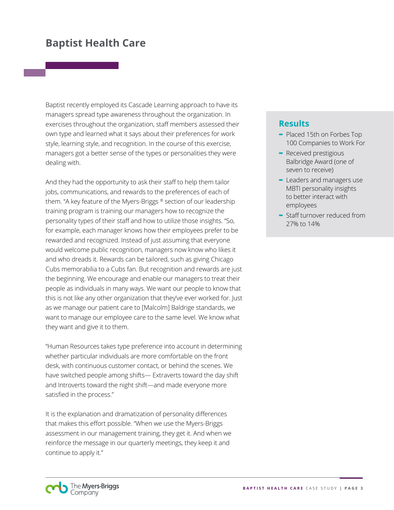# **Baptist Health Care**

Baptist recently employed its Cascade Learning approach to have its managers spread type awareness throughout the organization. In exercises throughout the organization, staff members assessed their own type and learned what it says about their preferences for work style, learning style, and recognition. In the course of this exercise, managers got a better sense of the types or personalities they were dealing with.

And they had the opportunity to ask their staff to help them tailor jobs, communications, and rewards to the preferences of each of them. "A key feature of the Myers-Briggs ® section of our leadership training program is training our managers how to recognize the personality types of their staff and how to utilize those insights. "So, for example, each manager knows how their employees prefer to be rewarded and recognized. Instead of just assuming that everyone would welcome public recognition, managers now know who likes it and who dreads it. Rewards can be tailored, such as giving Chicago Cubs memorabilia to a Cubs fan. But recognition and rewards are just the beginning. We encourage and enable our managers to treat their people as individuals in many ways. We want our people to know that this is not like any other organization that they've ever worked for. Just as we manage our patient care to [Malcolm] Baldrige standards, we want to manage our employee care to the same level. We know what they want and give it to them.

"Human Resources takes type preference into account in determining whether particular individuals are more comfortable on the front desk, with continuous customer contact, or behind the scenes. We have switched people among shifts— Extraverts toward the day shift and Introverts toward the night shift—and made everyone more satisfied in the process."

It is the explanation and dramatization of personality differences that makes this effort possible. "When we use the Myers-Briggs assessment in our management training, they get it. And when we reinforce the message in our quarterly meetings, they keep it and continue to apply it."

# **Results**

- **-** Placed 15th on Forbes Top 100 Companies to Work For
- **-** Received prestigious Balbridge Award (one of seven to receive)
- **-** Leaders and managers use MBTI personality insights to better interact with employees
- **-** Staff turnover reduced from 27% to 14%

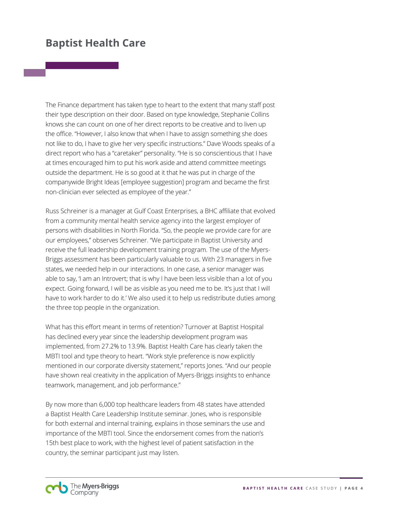# **Baptist Health Care**

The Finance department has taken type to heart to the extent that many staff post their type description on their door. Based on type knowledge, Stephanie Collins knows she can count on one of her direct reports to be creative and to liven up the office. "However, I also know that when I have to assign something she does not like to do, I have to give her very specific instructions." Dave Woods speaks of a direct report who has a "caretaker" personality. "He is so conscientious that I have at times encouraged him to put his work aside and attend committee meetings outside the department. He is so good at it that he was put in charge of the companywide Bright Ideas [employee suggestion] program and became the first non-clinician ever selected as employee of the year."

Russ Schreiner is a manager at Gulf Coast Enterprises, a BHC affiliate that evolved from a community mental health service agency into the largest employer of persons with disabilities in North Florida. "So, the people we provide care for are our employees," observes Schreiner. "We participate in Baptist University and receive the full leadership development training program. The use of the Myers-Briggs assessment has been particularly valuable to us. With 23 managers in five states, we needed help in our interactions. In one case, a senior manager was able to say, 'I am an Introvert; that is why I have been less visible than a lot of you expect. Going forward, I will be as visible as you need me to be. It's just that I will have to work harder to do it.' We also used it to help us redistribute duties among the three top people in the organization.

What has this effort meant in terms of retention? Turnover at Baptist Hospital has declined every year since the leadership development program was implemented, from 27.2% to 13.9%. Baptist Health Care has clearly taken the MBTI tool and type theory to heart. "Work style preference is now explicitly mentioned in our corporate diversity statement," reports Jones. "And our people have shown real creativity in the application of Myers-Briggs insights to enhance teamwork, management, and job performance."

By now more than 6,000 top healthcare leaders from 48 states have attended a Baptist Health Care Leadership Institute seminar. Jones, who is responsible for both external and internal training, explains in those seminars the use and importance of the MBTI tool. Since the endorsement comes from the nation's 15th best place to work, with the highest level of patient satisfaction in the country, the seminar participant just may listen.